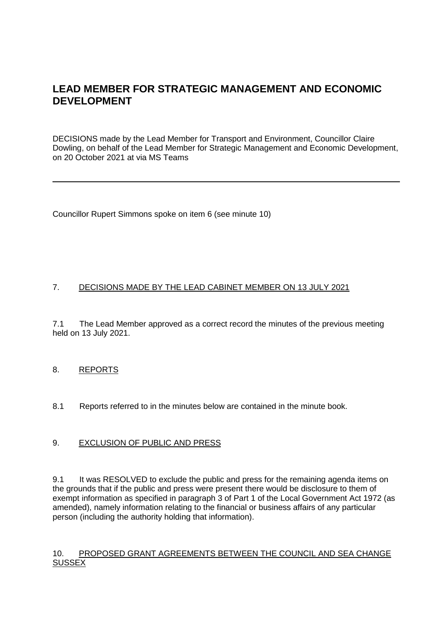# **LEAD MEMBER FOR STRATEGIC MANAGEMENT AND ECONOMIC DEVELOPMENT**

DECISIONS made by the Lead Member for Transport and Environment, Councillor Claire Dowling, on behalf of the Lead Member for Strategic Management and Economic Development, on 20 October 2021 at via MS Teams

Councillor Rupert Simmons spoke on item 6 (see minute 10)

## 7. DECISIONS MADE BY THE LEAD CABINET MEMBER ON 13 JULY 2021

7.1 The Lead Member approved as a correct record the minutes of the previous meeting held on 13 July 2021.

### 8. REPORTS

8.1 Reports referred to in the minutes below are contained in the minute book.

### 9. EXCLUSION OF PUBLIC AND PRESS

9.1 It was RESOLVED to exclude the public and press for the remaining agenda items on the grounds that if the public and press were present there would be disclosure to them of exempt information as specified in paragraph 3 of Part 1 of the Local Government Act 1972 (as amended), namely information relating to the financial or business affairs of any particular person (including the authority holding that information).

#### 10. PROPOSED GRANT AGREEMENTS BETWEEN THE COUNCIL AND SEA CHANGE **SUSSEX**